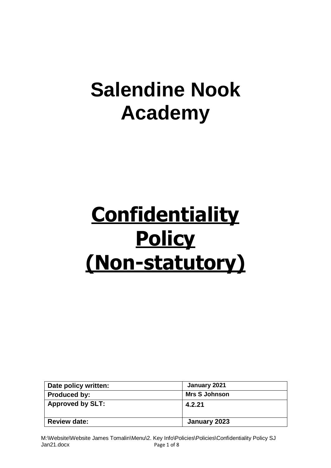## **Salendine Nook Academy**

# **Confidentiality Policy (Non-statutory)**

| Date policy written:    | January 2021         |
|-------------------------|----------------------|
| <b>Produced by:</b>     | <b>Mrs S Johnson</b> |
| <b>Approved by SLT:</b> | 4.2.21               |
| <b>Review date:</b>     | January 2023         |

M:\Website\Website James Tomalin\Menu\2. Key Info\Policies\Policies\Confidentiality Policy SJ Jan21.docx Page 1 of 8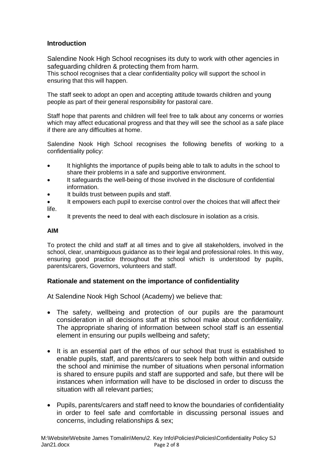## **Introduction**

Salendine Nook High School recognises its duty to work with other agencies in safeguarding children & protecting them from harm.

This school recognises that a clear confidentiality policy will support the school in ensuring that this will happen.

The staff seek to adopt an open and accepting attitude towards children and young people as part of their general responsibility for pastoral care.

Staff hope that parents and children will feel free to talk about any concerns or worries which may affect educational progress and that they will see the school as a safe place if there are any difficulties at home.

Salendine Nook High School recognises the following benefits of working to a confidentiality policy:

- It highlights the importance of pupils being able to talk to adults in the school to share their problems in a safe and supportive environment.
- It safeguards the well-being of those involved in the disclosure of confidential information.
- It builds trust between pupils and staff.
- It empowers each pupil to exercise control over the choices that will affect their life.
- It prevents the need to deal with each disclosure in isolation as a crisis.

#### **AIM**

To protect the child and staff at all times and to give all stakeholders, involved in the school, clear, unambiguous guidance as to their legal and professional roles. In this way, ensuring good practice throughout the school which is understood by pupils, parents/carers, Governors, volunteers and staff.

## **Rationale and statement on the importance of confidentiality**

At Salendine Nook High School (Academy) we believe that:

- The safety, wellbeing and protection of our pupils are the paramount consideration in all decisions staff at this school make about confidentiality. The appropriate sharing of information between school staff is an essential element in ensuring our pupils wellbeing and safety;
- It is an essential part of the ethos of our school that trust is established to enable pupils, staff, and parents/carers to seek help both within and outside the school and minimise the number of situations when personal information is shared to ensure pupils and staff are supported and safe, but there will be instances when information will have to be disclosed in order to discuss the situation with all relevant parties;
- Pupils, parents/carers and staff need to know the boundaries of confidentiality in order to feel safe and comfortable in discussing personal issues and concerns, including relationships & sex;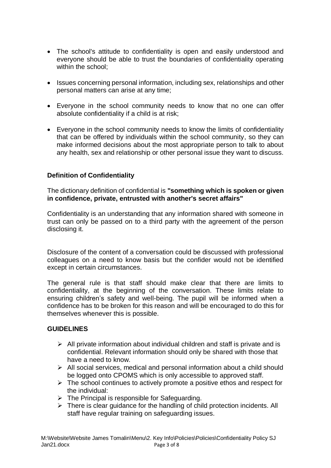- The school's attitude to confidentiality is open and easily understood and everyone should be able to trust the boundaries of confidentiality operating within the school;
- Issues concerning personal information, including sex, relationships and other personal matters can arise at any time;
- Everyone in the school community needs to know that no one can offer absolute confidentiality if a child is at risk;
- Everyone in the school community needs to know the limits of confidentiality that can be offered by individuals within the school community, so they can make informed decisions about the most appropriate person to talk to about any health, sex and relationship or other personal issue they want to discuss.

## **Definition of Confidentiality**

The dictionary definition of confidential is **"something which is spoken or given in confidence, private, entrusted with another's secret affairs"**

Confidentiality is an understanding that any information shared with someone in trust can only be passed on to a third party with the agreement of the person disclosing it.

Disclosure of the content of a conversation could be discussed with professional colleagues on a need to know basis but the confider would not be identified except in certain circumstances.

The general rule is that staff should make clear that there are limits to confidentiality, at the beginning of the conversation. These limits relate to ensuring children's safety and well-being. The pupil will be informed when a confidence has to be broken for this reason and will be encouraged to do this for themselves whenever this is possible.

## **GUIDELINES**

- $\triangleright$  All private information about individual children and staff is private and is confidential. Relevant information should only be shared with those that have a need to know.
- ➢ All social services, medical and personal information about a child should be logged onto CPOMS which is only accessible to approved staff.
- ➢ The school continues to actively promote a positive ethos and respect for the individual:
- $\triangleright$  The Principal is responsible for Safeguarding.
- ➢ There is clear guidance for the handling of child protection incidents. All staff have regular training on safeguarding issues.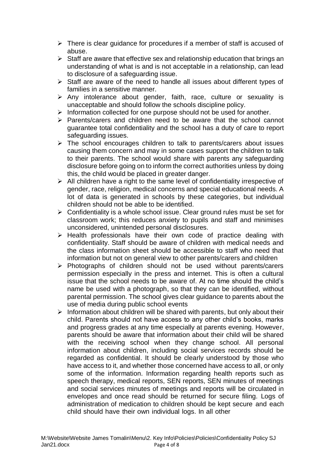- $\triangleright$  There is clear guidance for procedures if a member of staff is accused of abuse.
- $\triangleright$  Staff are aware that effective sex and relationship education that brings an understanding of what is and is not acceptable in a relationship, can lead to disclosure of a safeguarding issue.
- ➢ Staff are aware of the need to handle all issues about different types of families in a sensitive manner.
- ➢ Any intolerance about gender, faith, race, culture or sexuality is unacceptable and should follow the schools discipline policy.
- ➢ Information collected for one purpose should not be used for another.
- $\triangleright$  Parents/carers and children need to be aware that the school cannot guarantee total confidentiality and the school has a duty of care to report safeguarding issues.
- ➢ The school encourages children to talk to parents/carers about issues causing them concern and may in some cases support the children to talk to their parents. The school would share with parents any safeguarding disclosure before going on to inform the correct authorities unless by doing this, the child would be placed in greater danger.
- $\triangleright$  All children have a right to the same level of confidentiality irrespective of gender, race, religion, medical concerns and special educational needs. A lot of data is generated in schools by these categories, but individual children should not be able to be identified.
- $\triangleright$  Confidentiality is a whole school issue. Clear ground rules must be set for classroom work; this reduces anxiety to pupils and staff and minimises unconsidered, unintended personal disclosures.
- ➢ Health professionals have their own code of practice dealing with confidentiality. Staff should be aware of children with medical needs and the class information sheet should be accessible to staff who need that information but not on general view to other parents/carers and children
- ➢ Photographs of children should not be used without parents/carers permission especially in the press and internet. This is often a cultural issue that the school needs to be aware of. At no time should the child's name be used with a photograph, so that they can be identified, without parental permission. The school gives clear guidance to parents about the use of media during public school events
- $\triangleright$  Information about children will be shared with parents, but only about their child. Parents should not have access to any other child's books, marks and progress grades at any time especially at parents evening. However, parents should be aware that information about their child will be shared with the receiving school when they change school. All personal information about children, including social services records should be regarded as confidential. It should be clearly understood by those who have access to it, and whether those concerned have access to all, or only some of the information. Information regarding health reports such as speech therapy, medical reports, SEN reports, SEN minutes of meetings and social services minutes of meetings and reports will be circulated in envelopes and once read should be returned for secure filing. Logs of administration of medication to children should be kept secure and each child should have their own individual logs. In all other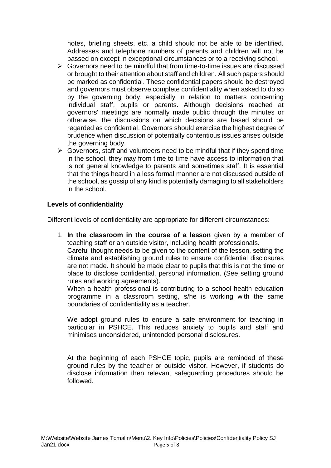notes, briefing sheets, etc. a child should not be able to be identified. Addresses and telephone numbers of parents and children will not be passed on except in exceptional circumstances or to a receiving school.

- ➢ Governors need to be mindful that from time-to-time issues are discussed or brought to their attention about staff and children. All such papers should be marked as confidential. These confidential papers should be destroyed and governors must observe complete confidentiality when asked to do so by the governing body, especially in relation to matters concerning individual staff, pupils or parents. Although decisions reached at governors' meetings are normally made public through the minutes or otherwise, the discussions on which decisions are based should be regarded as confidential. Governors should exercise the highest degree of prudence when discussion of potentially contentious issues arises outside the governing body.
- $\triangleright$  Governors, staff and volunteers need to be mindful that if they spend time in the school, they may from time to time have access to information that is not general knowledge to parents and sometimes staff. It is essential that the things heard in a less formal manner are not discussed outside of the school, as gossip of any kind is potentially damaging to all stakeholders in the school.

## **Levels of confidentiality**

Different levels of confidentiality are appropriate for different circumstances:

1. **In the classroom in the course of a lesson** given by a member of teaching staff or an outside visitor, including health professionals.

Careful thought needs to be given to the content of the lesson, setting the climate and establishing ground rules to ensure confidential disclosures are not made. It should be made clear to pupils that this is not the time or place to disclose confidential, personal information. (See setting ground rules and working agreements).

When a health professional is contributing to a school health education programme in a classroom setting, s/he is working with the same boundaries of confidentiality as a teacher.

We adopt ground rules to ensure a safe environment for teaching in particular in PSHCE. This reduces anxiety to pupils and staff and minimises unconsidered, unintended personal disclosures.

At the beginning of each PSHCE topic, pupils are reminded of these ground rules by the teacher or outside visitor. However, if students do disclose information then relevant safeguarding procedures should be followed.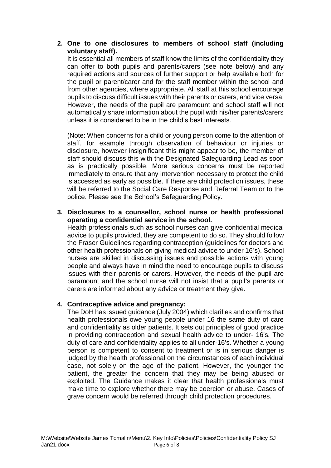## **2. One to one disclosures to members of school staff (including voluntary staff).**

It is essential all members of staff know the limits of the confidentiality they can offer to both pupils and parents/carers (see note below) and any required actions and sources of further support or help available both for the pupil or parent/carer and for the staff member within the school and from other agencies, where appropriate. All staff at this school encourage pupils to discuss difficult issues with their parents or carers, and vice versa. However, the needs of the pupil are paramount and school staff will not automatically share information about the pupil with his/her parents/carers unless it is considered to be in the child's best interests.

(Note: When concerns for a child or young person come to the attention of staff, for example through observation of behaviour or injuries or disclosure, however insignificant this might appear to be, the member of staff should discuss this with the Designated Safeguarding Lead as soon as is practically possible. More serious concerns must be reported immediately to ensure that any intervention necessary to protect the child is accessed as early as possible. If there are child protection issues, these will be referred to the Social Care Response and Referral Team or to the police. Please see the School's Safeguarding Policy.

## **3. Disclosures to a counsellor, school nurse or health professional operating a confidential service in the school.**

Health professionals such as school nurses can give confidential medical advice to pupils provided, they are competent to do so. They should follow the Fraser Guidelines regarding contraception (guidelines for doctors and other health professionals on giving medical advice to under 16's). School nurses are skilled in discussing issues and possible actions with young people and always have in mind the need to encourage pupils to discuss issues with their parents or carers. However, the needs of the pupil are paramount and the school nurse will not insist that a pupil's parents or carers are informed about any advice or treatment they give.

## **4. Contraceptive advice and pregnancy:**

The DoH has issued guidance (July 2004) which clarifies and confirms that health professionals owe young people under 16 the same duty of care and confidentiality as older patients. It sets out principles of good practice in providing contraception and sexual health advice to under- 16's. The duty of care and confidentiality applies to all under-16's. Whether a young person is competent to consent to treatment or is in serious danger is judged by the health professional on the circumstances of each individual case, not solely on the age of the patient. However, the younger the patient, the greater the concern that they may be being abused or exploited. The Guidance makes it clear that health professionals must make time to explore whether there may be coercion or abuse. Cases of grave concern would be referred through child protection procedures.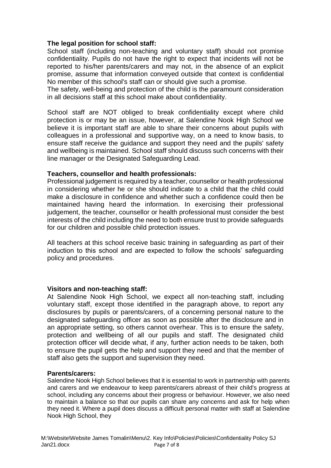## **The legal position for school staff:**

School staff (including non-teaching and voluntary staff) should not promise confidentiality. Pupils do not have the right to expect that incidents will not be reported to his/her parents/carers and may not, in the absence of an explicit promise, assume that information conveyed outside that context is confidential No member of this school's staff can or should give such a promise.

The safety, well-being and protection of the child is the paramount consideration in all decisions staff at this school make about confidentiality.

School staff are NOT obliged to break confidentiality except where child protection is or may be an issue, however, at Salendine Nook High School we believe it is important staff are able to share their concerns about pupils with colleagues in a professional and supportive way, on a need to know basis, to ensure staff receive the guidance and support they need and the pupils' safety and wellbeing is maintained. School staff should discuss such concerns with their line manager or the Designated Safeguarding Lead.

### **Teachers, counsellor and health professionals:**

Professional judgement is required by a teacher, counsellor or health professional in considering whether he or she should indicate to a child that the child could make a disclosure in confidence and whether such a confidence could then be maintained having heard the information. In exercising their professional judgement, the teacher, counsellor or health professional must consider the best interests of the child including the need to both ensure trust to provide safeguards for our children and possible child protection issues.

All teachers at this school receive basic training in safeguarding as part of their induction to this school and are expected to follow the schools' safeguarding policy and procedures.

#### **Visitors and non-teaching staff:**

At Salendine Nook High School, we expect all non-teaching staff, including voluntary staff, except those identified in the paragraph above, to report any disclosures by pupils or parents/carers, of a concerning personal nature to the designated safeguarding officer as soon as possible after the disclosure and in an appropriate setting, so others cannot overhear. This is to ensure the safety, protection and wellbeing of all our pupils and staff. The designated child protection officer will decide what, if any, further action needs to be taken, both to ensure the pupil gets the help and support they need and that the member of staff also gets the support and supervision they need.

#### **Parents/carers:**

Salendine Nook High School believes that it is essential to work in partnership with parents and carers and we endeavour to keep parents/carers abreast of their child's progress at school, including any concerns about their progress or behaviour. However, we also need to maintain a balance so that our pupils can share any concerns and ask for help when they need it. Where a pupil does discuss a difficult personal matter with staff at Salendine Nook High School, they